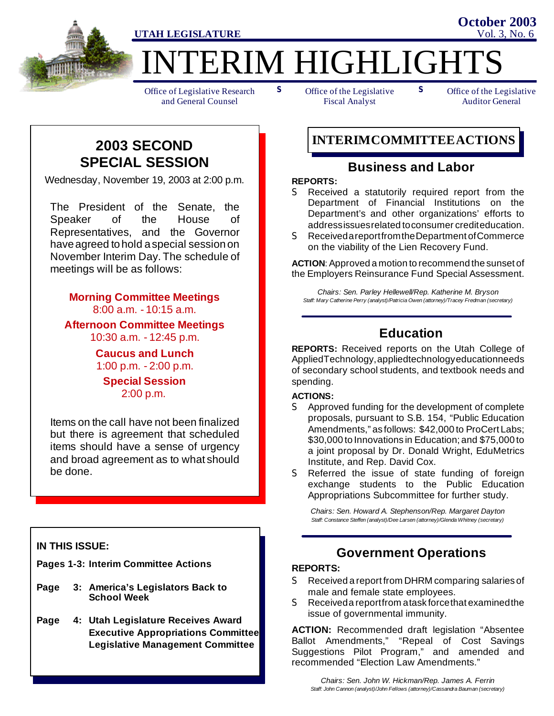

ERIM HIGHLIGHT

Office of Legislative Research and General Counsel

**s** Office of the Legislative **S** Fiscal Analyst

Office of the Legislative Auditor General

**October 2003**

# **2003 SECOND SPECIAL SESSION**

Wednesday, November 19, 2003 at 2:00 p.m.

The President of the Senate, the Speaker of the House of Representatives, and the Governor haveagreed tohold aspecial sessionon November Interim Day. The schedule of meetings will be as follows:

### **Morning Committee Meetings** 8:00 a.m. - 10:15 a.m.

**Afternoon Committee Meetings** 10:30 a.m. - 12:45 p.m.

> **Caucus and Lunch** 1:00 p.m. - 2:00 p.m.

**Special Session** 2:00 p.m.

Items on the call have not been finalized but there is agreement that scheduled items should have a sense of urgency and broad agreement as to what should be done.

### **IN THIS ISSUE:**

**Pages 1-3: Interim Committee Actions**

- **Page 3: America's Legislators Back to School Week**
- **Page 4: Utah Legislature Receives Award Executive Appropriations Committee Legislative Management Committee**

## **INTERIMCOMMITTEEACTIONS**

### **Business and Labor**

### **REPORTS:**

- S Received a statutorily required report from the Department of Financial Institutions on the Department's and other organizations' efforts to addressissuesrelated toconsumer crediteducation.
- S ReceivedareportfromtheDepartment ofCommerce on the viability of the Lien Recovery Fund.

**ACTION**: Approved a motion to recommend the sunset of the Employers Reinsurance Fund Special Assessment.

*Chairs: Sen. Parley Hellewell/Rep. Katherine M. Bryson Staff: Mary Catherine Perry (analyst)/Patricia Owen (attorney)/Tracey Fredman (secretary)*

## **Education**

**REPORTS:** Received reports on the Utah College of AppliedTechnology,appliedtechnologyeducationneeds of secondary school students, and textbook needs and spending.

### **ACTIONS:**

- S Approved funding for the development of complete proposals, pursuant to S.B. 154, "Public Education Amendments," as follows: \$42,000 to ProCert Labs; \$30,000 to Innovations in Education; and \$75,000 to a joint proposal by Dr. Donald Wright, EduMetrics Institute, and Rep. David Cox.
- S Referred the issue of state funding of foreign exchange students to the Public Education Appropriations Subcommittee for further study.

*Chairs: Sen. Howard A. Stephenson/Rep. Margaret Dayton Staff: Constance Steffen (analyst)/Dee Larsen (attorney)/Glenda Whitney (secretary)*

### **Government Operations**

### **REPORTS:**

- S Received a report from DHRM comparing salaries of male and female state employees.
- S Receiveda reportfrom atask forcethat examinedthe issue of governmental immunity.

**ACTION:** Recommended draft legislation "Absentee Ballot Amendments," "Repeal of Cost Savings Suggestions Pilot Program," and amended and recommended "Election Law Amendments."

*Chairs: Sen. John W. Hickman/Rep. James A. Ferrin Staff: John Cannon (analyst)/John Fellows (attorney)/Cassandra Bauman (secretary)*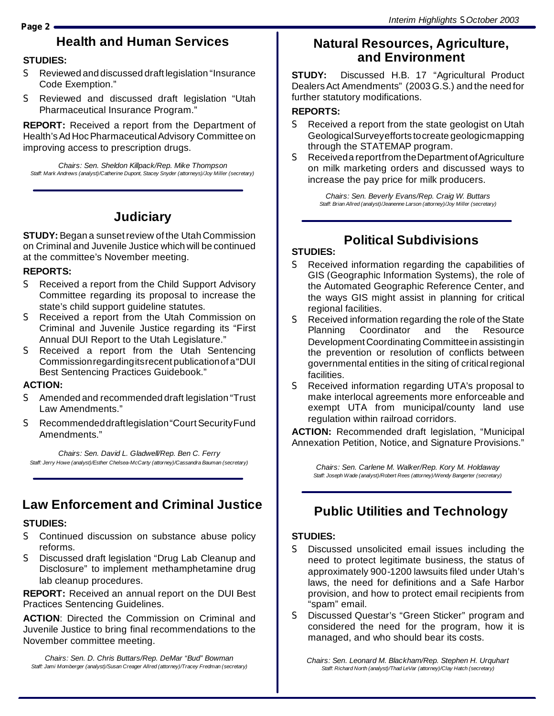# **Health and Human Services**

### **STUDIES:**

- S Reviewed and discussed draft legislation "Insurance Code Exemption."
- S Reviewed and discussed draft legislation "Utah Pharmaceutical Insurance Program."

**REPORT:** Received a report from the Department of Health's Ad Hoc Pharmaceutical Advisory Committee on improving access to prescription drugs.

*Chairs: Sen. Sheldon Killpack/Rep. Mike Thompson Staff: Mark Andrews (analyst)/Catherine Dupont, Stacey Snyder (attorneys)/Joy Miller (secretary)*

### **Judiciary**

**STUDY:** Began a sunset review of the Utah Commission on Criminal and Juvenile Justice which will be continued at the committee's November meeting.

#### **REPORTS:**

- S Received a report from the Child Support Advisory Committee regarding its proposal to increase the state's child support guideline statutes.
- S Received a report from the Utah Commission on Criminal and Juvenile Justice regarding its "First Annual DUI Report to the Utah Legislature."
- S Received a report from the Utah Sentencing Commissionregardingitsrecent publicationof a"DUI Best Sentencing Practices Guidebook."

#### **ACTION:**

- S Amended and recommended draft legislation "Trust Law Amendments."
- S Recommendeddraftlegislation "Court Security Fund Amendments."

*Chairs: Sen. David L. Gladwell/Rep. Ben C. Ferry Staff: Jerry Howe (analyst)/Esther Chelsea-McCarty (attorney)/Cassandra Bauman (secretary)*

## **Law Enforcement and Criminal Justice**

### **STUDIES:**

- S Continued discussion on substance abuse policy reforms.
- S Discussed draft legislation "Drug Lab Cleanup and Disclosure" to implement methamphetamine drug lab cleanup procedures.

**REPORT:** Received an annual report on the DUI Best Practices Sentencing Guidelines.

**ACTION**: Directed the Commission on Criminal and Juvenile Justice to bring final recommendations to the November committee meeting.

*Chairs: Sen. D. Chris Buttars/Rep. DeMar "Bud" Bowman Staff: Jami Momberger (analyst)/Susan Creager Allred (attorney)/Tracey Fredman (secretary)*

### **Natural Resources, Agriculture, and Environment**

**STUDY:** Discussed H.B. 17 "Agricultural Product DealersAct Amendments" (2003 G.S.) and the need for further statutory modifications.

#### **REPORTS:**

- S Received a report from the state geologist on Utah GeologicalSurveyefforts tocreate geologicmapping through the STATEMAP program.
- S Received a report from the Department of Agriculture on milk marketing orders and discussed ways to increase the pay price for milk producers.

*Chairs: Sen. Beverly Evans/Rep. Craig W. Buttars Staff: Brian Allred (analyst)/Jeanenne Larson (attorney)/Joy Miller (secretary)*

## **Political Subdivisions**

### **STUDIES:**

- S Received information regarding the capabilities of GIS (Geographic Information Systems), the role of the Automated Geographic Reference Center, and the ways GIS might assist in planning for critical regional facilities.
- S Received information regarding the role of the State Planning Coordinator and the Resource Development Coordinating Committeein assistingin the prevention or resolution of conflicts between governmental entities in the siting of criticalregional facilities.
- S Received information regarding UTA's proposal to make interlocal agreements more enforceable and exempt UTA from municipal/county land use regulation within railroad corridors.

**ACTION:** Recommended draft legislation, "Municipal Annexation Petition, Notice, and Signature Provisions."

*Chairs: Sen. Carlene M. Walker/Rep. Kory M. Holdaway Staff: Joseph Wade (analyst)/Robert Rees (attorney)/Wendy Bangerter (secretary)*

## **Public Utilities and Technology**

### **STUDIES:**

- S Discussed unsolicited email issues including the need to protect legitimate business, the status of approximately 900-1200 lawsuits filed under Utah's laws, the need for definitions and a Safe Harbor provision, and how to protect email recipients from "spam" email.
- S Discussed Questar's "Green Sticker" program and considered the need for the program, how it is managed, and who should bear its costs.

*Chairs: Sen. Leonard M. Blackham/Rep. Stephen H. Urquhart Staff: Richard North (analyst)/Thad LeVar (attorney)/Clay Hatch (secretary)*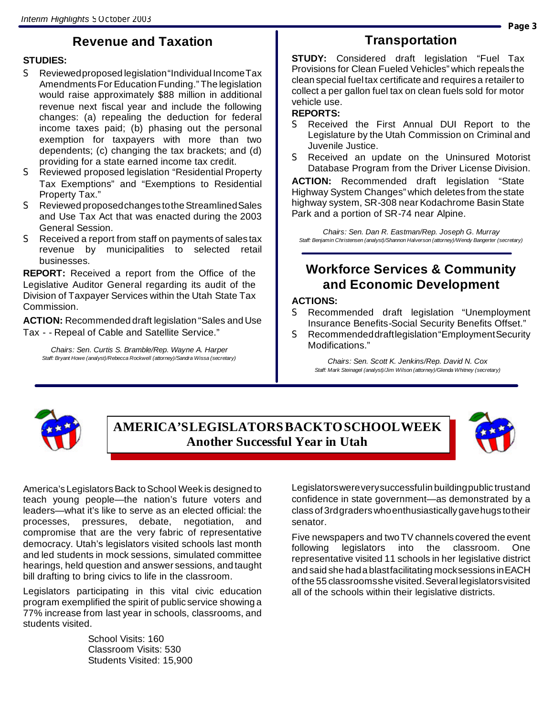## **Revenue and Taxation**

### **STUDIES:**

- S Reviewed proposed legislation "Individual Income Tax AmendmentsFor Education Funding." The legislation would raise approximately \$88 million in additional revenue next fiscal year and include the following changes: (a) repealing the deduction for federal income taxes paid; (b) phasing out the personal exemption for taxpayers with more than two dependents; (c) changing the tax brackets; and (d) providing for a state earned income tax credit.
- S Reviewed proposed legislation "Residential Property Tax Exemptions" and "Exemptions to Residential Property Tax."
- S Reviewed proposed changes to the Streamlined Sales and Use Tax Act that was enacted during the 2003 General Session.
- S Received a report from staff on payments of sales tax revenue by municipalities to selected retail businesses.

**REPORT:** Received a report from the Office of the Legislative Auditor General regarding its audit of the Division of Taxpayer Services within the Utah State Tax Commission.

**ACTION:** Recommended draft legislation "Sales and Use Tax - - Repeal of Cable and Satellite Service."

*Chairs: Sen. Curtis S. Bramble/Rep. Wayne A. Harper Staff: Bryant Howe (analyst)/Rebecca Rockwell (attorney)/Sandra Wissa (secretary)*

### **Transportation**

**STUDY:** Considered draft legislation "Fuel Tax Provisions for Clean Fueled Vehicles" which repeals the clean special fueltax certificate and requires a retailer to collect a per gallon fuel tax on clean fuels sold for motor vehicle use.

#### **REPORTS:**

- S Received the First Annual DUI Report to the Legislature by the Utah Commission on Criminal and Juvenile Justice.
- S Received an update on the Uninsured Motorist Database Program from the Driver License Division.

**ACTION:** Recommended draft legislation "State Highway System Changes" which deletes from the state highway system, SR-308 near Kodachrome Basin State Park and a portion of SR-74 near Alpine.

*Chairs: Sen. Dan R. Eastman/Rep. Joseph G. Murray Staff: Benjamin Christensen (analyst)/Shannon Halverson (attorney)/Wendy Bangerter (secretary)*

### **Workforce Services & Community and Economic Development**

### **ACTIONS:**

- S Recommended draft legislation "Unemployment Insurance Benefits-Social Security Benefits Offset."
- S Recommendeddraftlegislation"EmploymentSecurity Modifications."

*Chairs: Sen. Scott K. Jenkins/Rep. David N. Cox Staff: Mark Steinagel (analyst)/Jim Wilson (attorney)/Glenda Whitney (secretary)*



### **AMERICA'SLEGISLATORSBACKTOSCHOOLWEEK Another Successful Year in Utah**



America's Legislators Back to School Week is designed to teach young people—the nation's future voters and leaders—what it's like to serve as an elected official: the processes, pressures, debate, negotiation, and compromise that are the very fabric of representative democracy. Utah's legislators visited schools last month and led students in mock sessions, simulated committee hearings, held question and answer sessions, and taught bill drafting to bring civics to life in the classroom.

Legislators participating in this vital civic education program exemplified the spirit of public service showing a 77% increase from last year in schools, classrooms, and students visited.

> School Visits: 160 Classroom Visits: 530 Students Visited: 15,900

Legislatorswereverysuccessfulin buildingpublic trustand confidence in state government—as demonstrated by a class of 3rdgraderswhoenthusiastically gavehugs totheir senator.

Five newspapers and two TV channels covered the event following legislators into the classroom. One representative visited 11 schools in her legislative district and said she hada blastfacilitating mocksessions inEACH of the 55 classroomsshe visited.Several legislatorsvisited all of the schools within their legislative districts.